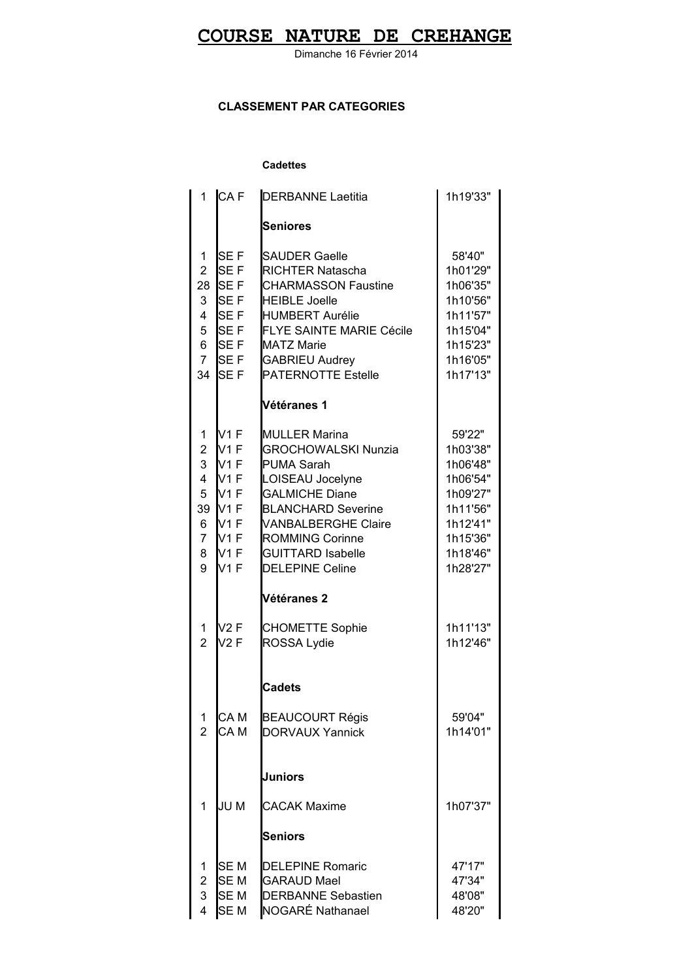### **COURSE NATURE DE CREHANGE**

Dimanche 16 Février 2014

### **CLASSEMENT PAR CATEGORIES**

#### **Cadettes**

| 1                                                                                  | ICA F                                                                                                             | <b>DERBANNE Laetitia</b>                                                                                                                                                                                                                                        | 1h19'33"                                                                                                           |
|------------------------------------------------------------------------------------|-------------------------------------------------------------------------------------------------------------------|-----------------------------------------------------------------------------------------------------------------------------------------------------------------------------------------------------------------------------------------------------------------|--------------------------------------------------------------------------------------------------------------------|
|                                                                                    |                                                                                                                   | <b>Seniores</b>                                                                                                                                                                                                                                                 |                                                                                                                    |
| 1<br>$\overline{2}$<br>28<br>3<br>$\overline{4}$<br>5<br>6<br>$\overline{7}$<br>34 | SE <sub>F</sub><br><b>SEF</b><br><b>SEF</b><br>SEF<br><b>SEF</b><br><b>SEF</b><br><b>SEF</b><br><b>SEF</b><br>SEF | <b>SAUDER Gaelle</b><br><b>RICHTER Natascha</b><br><b>CHARMASSON Faustine</b><br><b>HEIBLE Joelle</b><br><b>HUMBERT Aurélie</b><br><b>FLYE SAINTE MARIE Cécile</b><br><b>MATZ Marie</b><br><b>GABRIEU Audrey</b><br><b>PATERNOTTE Estelle</b>                   | 58'40"<br>1h01'29"<br>1h06'35"<br>1h10'56"<br>1h11'57"<br>1h15'04"<br>1h15'23"<br>1h16'05"<br>1h17'13"             |
|                                                                                    |                                                                                                                   | Vétéranes 1                                                                                                                                                                                                                                                     |                                                                                                                    |
| 1<br>2<br>3<br>$\overline{4}$<br>5<br>39<br>6<br>$\overline{7}$<br>8<br>9          | lv1 F<br>lv1 F<br>lv1 F<br>V <sub>1</sub> F<br>V <sub>1</sub> F<br>V1F<br>IV1 F<br>IV1 F<br>lv1 F<br>V1 F         | <b>MULLER Marina</b><br><b>GROCHOWALSKI Nunzia</b><br><b>PUMA Sarah</b><br>LOISEAU Jocelyne<br><b>GALMICHE Diane</b><br><b>BLANCHARD Severine</b><br><b>VANBALBERGHE Claire</b><br><b>ROMMING Corinne</b><br><b>GUITTARD Isabelle</b><br><b>DELEPINE Celine</b> | 59'22"<br>1h03'38"<br>1h06'48"<br>1h06'54"<br>1h09'27"<br>1h11'56"<br>1h12'41"<br>1h15'36"<br>1h18'46"<br>1h28'27" |
|                                                                                    |                                                                                                                   | Vétéranes 2                                                                                                                                                                                                                                                     |                                                                                                                    |
| 1<br>$\overline{2}$                                                                | V2F<br>V2F                                                                                                        | <b>CHOMETTE Sophie</b><br>ROSSA Lydie                                                                                                                                                                                                                           | 1h11'13"<br>1h12'46"                                                                                               |
|                                                                                    |                                                                                                                   | <b>Cadets</b>                                                                                                                                                                                                                                                   |                                                                                                                    |
| 1<br>$\overline{2}$                                                                | CA M<br>CA <sub>M</sub>                                                                                           | <b>BEAUCOURT Régis</b><br><b>DORVAUX Yannick</b>                                                                                                                                                                                                                | 59'04"<br>1h14'01"                                                                                                 |
|                                                                                    |                                                                                                                   | <b>Juniors</b>                                                                                                                                                                                                                                                  |                                                                                                                    |
| 1                                                                                  | JU M                                                                                                              | <b>CACAK Maxime</b>                                                                                                                                                                                                                                             | 1h07'37"                                                                                                           |
|                                                                                    |                                                                                                                   | <b>Seniors</b>                                                                                                                                                                                                                                                  |                                                                                                                    |
| 1<br>2<br>3<br>$\overline{\mathbf{4}}$                                             | SE <sub>M</sub><br>SE <sub>M</sub><br>SEM<br>SEM                                                                  | <b>DELEPINE Romaric</b><br><b>GARAUD Mael</b><br><b>DERBANNE Sebastien</b><br>NOGARÉ Nathanael                                                                                                                                                                  | 47'17"<br>47'34"<br>48'08"<br>48'20"                                                                               |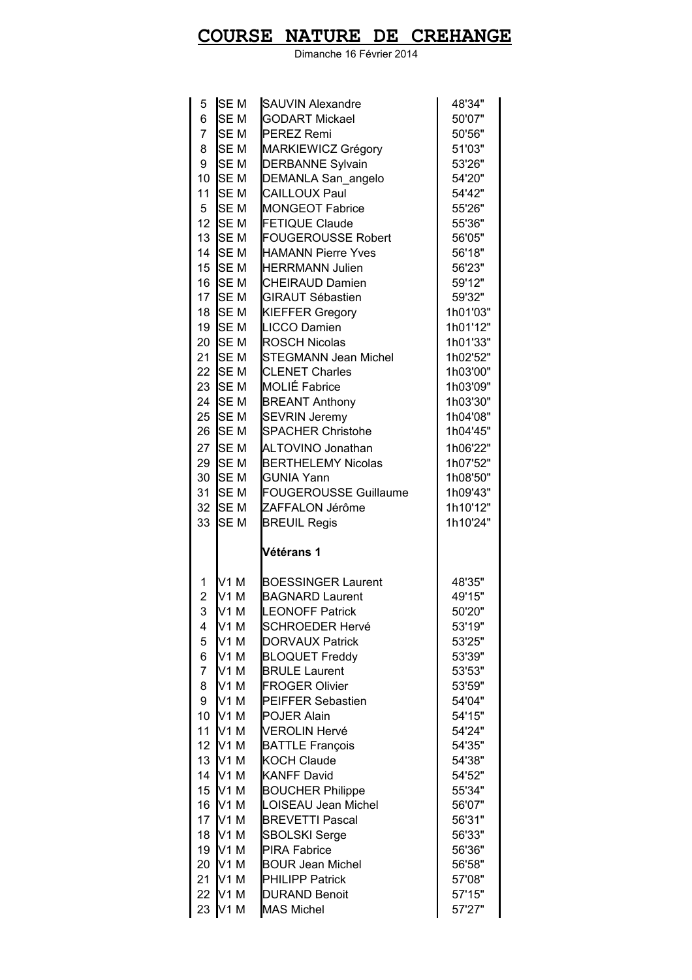# **COURSE NATURE DE CREHANGE**

Dimanche 16 Février 2014

| 5                   | <b>SEM</b>              | <b>SAUVIN Alexandre</b>                       | 48'34"           |
|---------------------|-------------------------|-----------------------------------------------|------------------|
| 6                   | SE <sub>M</sub>         | <b>GODART Mickael</b>                         | 50'07"           |
| $\overline{7}$      | SE <sub>M</sub>         | <b>PEREZ Remi</b>                             | 50'56"           |
| 8                   | <b>SEM</b>              | MARKIEWICZ Grégory                            | 51'03"           |
| 9                   | SE <sub>M</sub>         | <b>DERBANNE Sylvain</b>                       | 53'26"           |
| 10                  | SE <sub>M</sub>         | DEMANLA San_angelo                            | 54'20"           |
| 11                  | SE <sub>M</sub>         | <b>CAILLOUX Paul</b>                          | 54'42"           |
| 5                   | <b>SEM</b>              | MONGEOT Fabrice                               | 55'26"           |
| 12                  | <b>SEM</b>              | <b>FETIQUE Claude</b>                         | 55'36"           |
| 13                  | <b>SEM</b>              | <b>FOUGEROUSSE Robert</b>                     | 56'05"           |
| 14                  | <b>SEM</b>              | <b>HAMANN Pierre Yves</b>                     | 56'18"           |
| 15                  | <b>SEM</b>              | <b>HERRMANN Julien</b>                        | 56'23"           |
| 16                  | <b>SEM</b>              | <b>CHEIRAUD Damien</b>                        | 59'12"           |
| 17                  | <b>SEM</b>              | <b>GIRAUT Sébastien</b>                       | 59'32"           |
| 18                  | <b>SEM</b>              | <b>KIEFFER Gregory</b>                        | 1h01'03"         |
| 19                  | <b>SEM</b>              | <b>LICCO Damien</b>                           | 1h01'12"         |
| 20                  | <b>SEM</b>              | <b>ROSCH Nicolas</b>                          | 1h01'33"         |
| 21                  | <b>SEM</b>              | <b>STEGMANN Jean Michel</b>                   | 1h02'52"         |
| 22                  | <b>SEM</b>              | <b>CLENET Charles</b>                         | 1h03'00"         |
| 23                  | <b>SEM</b>              | <b>MOLIÉ Fabrice</b>                          | 1h03'09"         |
| 24                  | <b>SEM</b>              | <b>BREANT Anthony</b>                         | 1h03'30"         |
| 25                  | SE <sub>M</sub>         | <b>SEVRIN Jeremy</b>                          | 1h04'08"         |
| 26                  | <b>SEM</b>              | <b>SPACHER Christohe</b>                      | 1h04'45"         |
| 27                  | <b>SEM</b>              | <b>ALTOVINO Jonathan</b>                      | 1h06'22"         |
| 29                  | <b>SEM</b>              | <b>BERTHELEMY Nicolas</b>                     | 1h07'52"         |
| 30                  | <b>SEM</b>              | <b>GUNIA Yann</b>                             | 1h08'50"         |
| 31                  | <b>SEM</b>              | <b>FOUGEROUSSE Guillaume</b>                  | 1h09'43"         |
|                     |                         |                                               |                  |
| 32                  | <b>SEM</b>              | ZAFFALON Jérôme                               | 1h10'12"         |
| 33                  | SE <sub>M</sub>         | <b>BREUIL Regis</b>                           | 1h10'24"         |
|                     |                         | Vétérans 1                                    |                  |
|                     |                         |                                               |                  |
| 1                   | V1 M                    | <b>BOESSINGER Laurent</b>                     | 48'35"           |
| $\overline{2}$      | V1M                     | <b>BAGNARD Laurent</b>                        | 49'15"           |
| 3                   | V <sub>1</sub> M        | <b>LEONOFF Patrick</b>                        | 50'20"           |
| 4                   | V1 M                    | <b>SCHROEDER Hervé</b>                        | 53'19"           |
| 5                   | V <sub>1</sub> M        | <b>DORVAUX Patrick</b>                        | 53'25"           |
| 6<br>$\overline{7}$ | V1M                     | <b>BLOQUET Freddy</b>                         | 53'39"<br>53'53" |
| 8                   | V1M<br>V1M              | <b>BRULE Laurent</b><br><b>FROGER Olivier</b> | 53'59"           |
| 9                   | V1 M                    | PEIFFER Sebastien                             | 54'04"           |
| 10                  | V1M                     | POJER Alain                                   | 54'15"           |
| 11                  | lv1 m                   | <b>VEROLIN Hervé</b>                          | 54'24"           |
| 12                  | $N1$ M                  | <b>BATTLE François</b>                        | 54'35"           |
| 13                  | IV <sub>1</sub> M       | <b>KOCH Claude</b>                            | 54'38"           |
| 14                  | V1M                     | <b>KANFF David</b>                            | 54'52"           |
| 15                  | V1M                     | <b>BOUCHER Philippe</b>                       | 55'34"           |
| 16                  | V1M                     | <b>LOISEAU Jean Michel</b>                    | 56'07"           |
| 17                  | V1M                     | <b>BREVETTI Pascal</b>                        | 56'31"           |
| 18                  | V1M                     | <b>SBOLSKI Serge</b>                          | 56'33"           |
| 19                  | V1M                     | <b>PIRA Fabrice</b>                           | 56'36"           |
| 20                  | V <sub>1</sub> M        | <b>BOUR Jean Michel</b>                       | 56'58"           |
| 21                  | V1M                     | <b>PHILIPP Patrick</b>                        | 57'08"           |
| 22<br>23            | V1M<br>V <sub>1</sub> M | <b>DURAND Benoit</b><br><b>MAS Michel</b>     | 57'15"           |